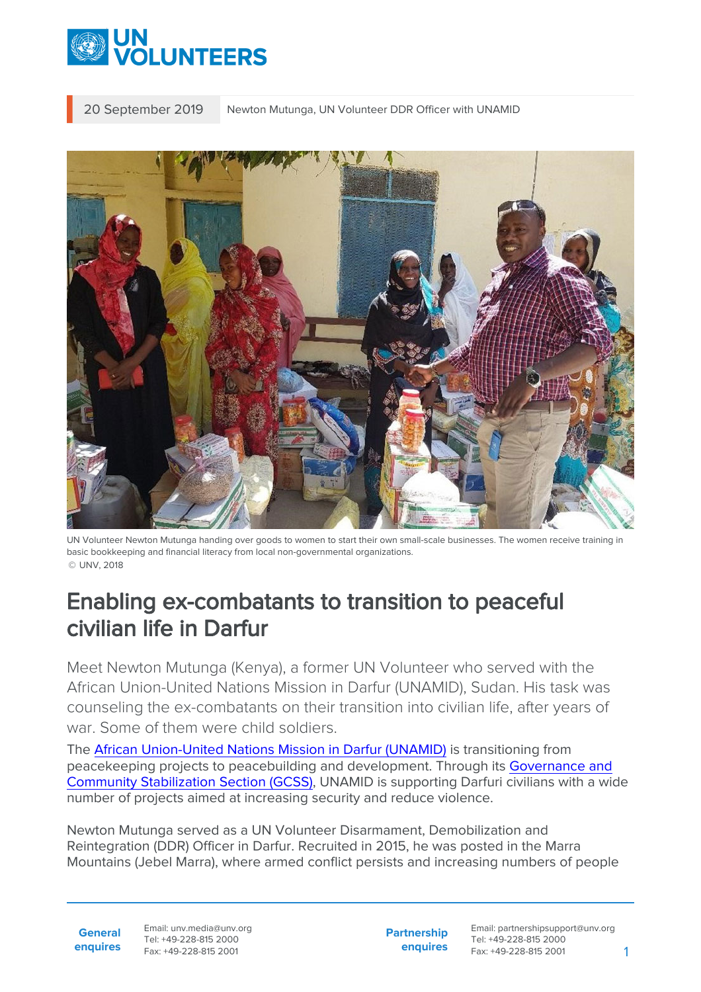

20 September 2019 Newton Mutunga, UN Volunteer DDR Officer with UNAMID



UN Volunteer Newton Mutunga handing over goods to women to start their own small-scale businesses. The women receive training in basic bookkeeping and financial literacy from local non-governmental organizations. © UNV, 2018

## Enabling ex-combatants to transition to peaceful civilian life in Darfur

Meet Newton Mutunga (Kenya), a former UN Volunteer who served with the African Union-United Nations Mission in Darfur (UNAMID), Sudan. His task was counseling the ex-combatants on their transition into civilian life, after years of war. Some of them were child soldiers.

The [African Union-United Nations Mission in Darfur \(UNAMID\)](https://unamid.unmissions.org/about-unamid-0) is transitioning from peacekeeping projects to peacebuilding and development. Through its [Governance and](https://unamid.unmissions.org/gcss) [Community Stabilization Section \(GCSS\)](https://unamid.unmissions.org/gcss), UNAMID is supporting Darfuri civilians with a wide number of projects aimed at increasing security and reduce violence.

Newton Mutunga served as a UN Volunteer Disarmament, Demobilization and Reintegration (DDR) Officer in Darfur. Recruited in 2015, he was posted in the Marra Mountains (Jebel Marra), where armed conflict persists and increasing numbers of people

**General enquires** Email: unv.media@unv.org Tel: +49-228-815 2000 Fax: +49-228-815 2001

**Partnership enquires** Email: partnershipsupport@unv.org Tel: +49-228-815 2000 Fax: +49-228-815 2001 1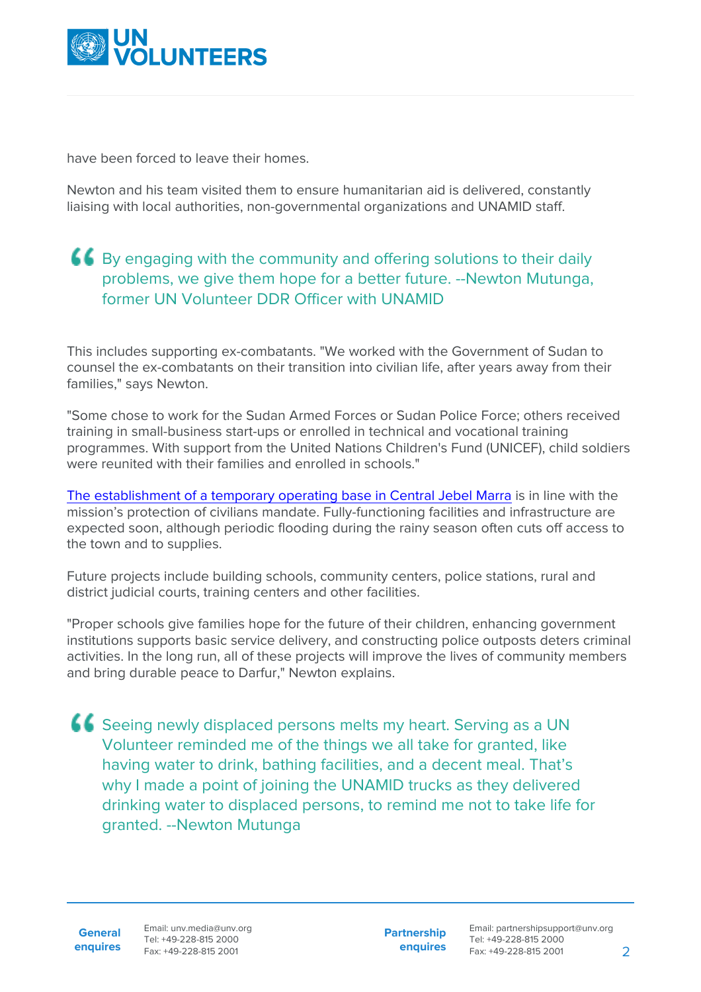

have been forced to leave their homes.

Newton and his team visited them to ensure humanitarian aid is delivered, constantly liaising with local authorities, non-governmental organizations and UNAMID staff.

## **66** By engaging with the community and offering solutions to their daily problems, we give them hope for a better future. --Newton Mutunga, former UN Volunteer DDR Officer with UNAMID

This includes supporting ex-combatants. "We worked with the Government of Sudan to counsel the ex-combatants on their transition into civilian life, after years away from their families," says Newton.

"Some chose to work for the Sudan Armed Forces or Sudan Police Force; others received training in small-business start-ups or enrolled in technical and vocational training programmes. With support from the United Nations Children's Fund (UNICEF), child soldiers were reunited with their families and enrolled in schools."

[The establishment of a temporary operating base in Central Jebel Marra](https://unamid.unmissions.org/government-sudan-hands-over-land-establishment-unamid-temporary-operating-base-golo-central-darfur) is in line with the mission's protection of civilians mandate. Fully-functioning facilities and infrastructure are expected soon, although periodic flooding during the rainy season often cuts off access to the town and to supplies.

Future projects include building schools, community centers, police stations, rural and district judicial courts, training centers and other facilities.

"Proper schools give families hope for the future of their children, enhancing government institutions supports basic service delivery, and constructing police outposts deters criminal activities. In the long run, all of these projects will improve the lives of community members and bring durable peace to Darfur," Newton explains.

**66** Seeing newly displaced persons melts my heart. Serving as a UN Volunteer reminded me of the things we all take for granted, like having water to drink, bathing facilities, and a decent meal. That's why I made a point of joining the UNAMID trucks as they delivered drinking water to displaced persons, to remind me not to take life for granted. --Newton Mutunga

**General**

**Partnership enquires**